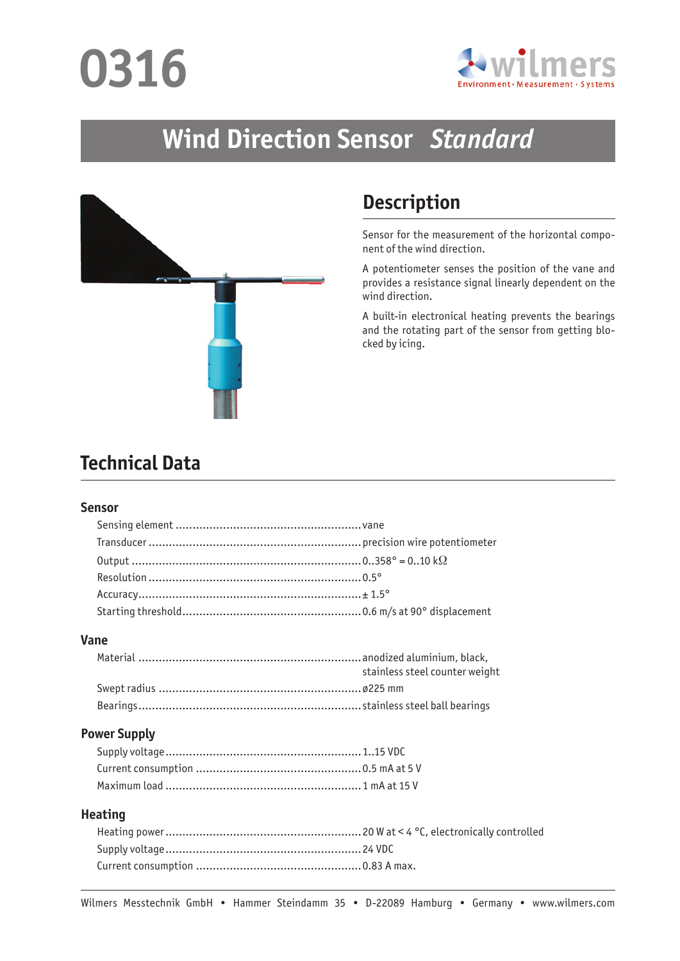# **0316**



## **Wind Direction Sensor** *Standard*



## **Description**

Sensor for the measurement of the horizontal component of the wind direction.

A potentiometer senses the position of the vane and provides a resistance signal linearly dependent on the wind direction.

A built-in electronical heating prevents the bearings and the rotating part of the sensor from getting blocked by icing.

### **Technical Data**

#### **Sensor**

#### **Vane**

| stainless steel counter weight |
|--------------------------------|
|                                |
|                                |

#### **Power Supply**

#### **Heating**